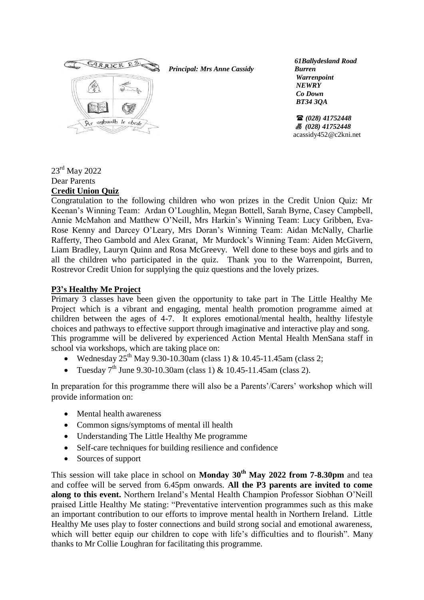

*Principal: Mrs Anne Cassidy*

 *61Ballydesland Road Burren Warrenpoint NEWRY Co Down BT34 3QA*

 *(028) 41752448 (028) 41752448* acassidy452@c2kni.net

#### 23<sup>rd</sup> May 2022 Dear Parents **Credit Union Quiz**

Congratulation to the following children who won prizes in the Credit Union Quiz: Mr Keenan's Winning Team: Ardan O'Loughlin, Megan Bottell, Sarah Byrne, Casey Campbell, Annie McMahon and Matthew O'Neill, Mrs Harkin's Winning Team: Lucy Gribben, Eva-Rose Kenny and Darcey O'Leary, Mrs Doran's Winning Team: Aidan McNally, Charlie Rafferty, Theo Gambold and Alex Granat, Mr Murdock's Winning Team: Aiden McGivern, Liam Bradley, Lauryn Quinn and Rosa McGreevy. Well done to these boys and girls and to all the children who participated in the quiz. Thank you to the Warrenpoint, Burren, Rostrevor Credit Union for supplying the quiz questions and the lovely prizes.

# **P3's Healthy Me Project**

Primary 3 classes have been given the opportunity to take part in The Little Healthy Me Project which is a vibrant and engaging, mental health promotion programme aimed at children between the ages of 4-7. It explores emotional/mental health, healthy lifestyle choices and pathways to effective support through imaginative and interactive play and song. This programme will be delivered by experienced Action Mental Health MenSana staff in school via workshops, which are taking place on:

- Wednesday  $25^{th}$  May 9.30-10.30am (class 1) & 10.45-11.45am (class 2;
- Tuesday  $7^{th}$  June 9.30-10.30am (class 1) & 10.45-11.45am (class 2).

In preparation for this programme there will also be a Parents'/Carers' workshop which will provide information on:

- Mental health awareness
- Common signs/symptoms of mental ill health
- Understanding The Little Healthy Me programme
- Self-care techniques for building resilience and confidence
- Sources of support

This session will take place in school on **Monday 30th May 2022 from 7-8.30pm** and tea and coffee will be served from 6.45pm onwards. **All the P3 parents are invited to come along to this event.** Northern Ireland's Mental Health Champion Professor Siobhan O'Neill praised Little Healthy Me stating: "Preventative intervention programmes such as this make an important contribution to our efforts to improve mental health in Northern Ireland. Little Healthy Me uses play to foster connections and build strong social and emotional awareness, which will better equip our children to cope with life's difficulties and to flourish". Many thanks to Mr Collie Loughran for facilitating this programme.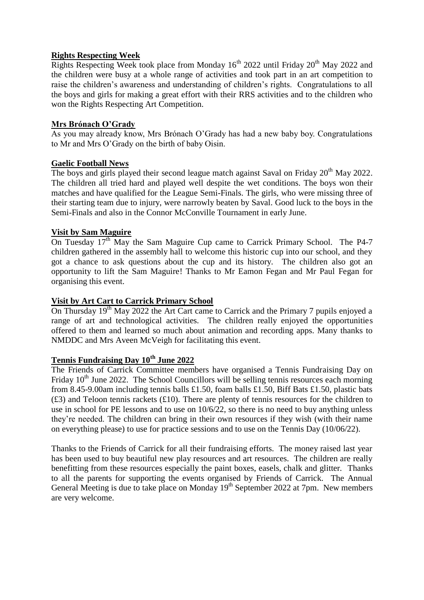### **Rights Respecting Week**

Rights Respecting Week took place from Monday  $16<sup>th</sup>$  2022 until Friday 20<sup>th</sup> May 2022 and the children were busy at a whole range of activities and took part in an art competition to raise the children's awareness and understanding of children's rights. Congratulations to all the boys and girls for making a great effort with their RRS activities and to the children who won the Rights Respecting Art Competition.

### **Mrs Brónach O'Grady**

As you may already know, Mrs Brónach O'Grady has had a new baby boy. Congratulations to Mr and Mrs O'Grady on the birth of baby Oisin.

#### **Gaelic Football News**

The boys and girls played their second league match against Saval on Friday  $20^{th}$  May 2022. The children all tried hard and played well despite the wet conditions. The boys won their matches and have qualified for the League Semi-Finals. The girls, who were missing three of their starting team due to injury, were narrowly beaten by Saval. Good luck to the boys in the Semi-Finals and also in the Connor McConville Tournament in early June.

### **Visit by Sam Maguire**

On Tuesday  $17<sup>th</sup>$  May the Sam Maguire Cup came to Carrick Primary School. The P4-7 children gathered in the assembly hall to welcome this historic cup into our school, and they got a chance to ask questions about the cup and its history. The children also got an opportunity to lift the Sam Maguire! Thanks to Mr Eamon Fegan and Mr Paul Fegan for organising this event.

#### **Visit by Art Cart to Carrick Primary School**

On Thursday  $19<sup>th</sup>$  May 2022 the Art Cart came to Carrick and the Primary 7 pupils enjoyed a range of art and technological activities. The children really enjoyed the opportunities offered to them and learned so much about animation and recording apps. Many thanks to NMDDC and Mrs Aveen McVeigh for facilitating this event.

# **Tennis Fundraising Day 10th June 2022**

The Friends of Carrick Committee members have organised a Tennis Fundraising Day on Friday  $10<sup>th</sup>$  June 2022. The School Councillors will be selling tennis resources each morning from 8.45-9.00am including tennis balls £1.50, foam balls £1.50, Biff Bats £1.50, plastic bats  $(f3)$  and Teloon tennis rackets  $(f10)$ . There are plenty of tennis resources for the children to use in school for PE lessons and to use on 10/6/22, so there is no need to buy anything unless they're needed. The children can bring in their own resources if they wish (with their name on everything please) to use for practice sessions and to use on the Tennis Day (10/06/22).

Thanks to the Friends of Carrick for all their fundraising efforts. The money raised last year has been used to buy beautiful new play resources and art resources. The children are really benefitting from these resources especially the paint boxes, easels, chalk and glitter. Thanks to all the parents for supporting the events organised by Friends of Carrick. The Annual General Meeting is due to take place on Monday 19<sup>th</sup> September 2022 at 7pm. New members are very welcome.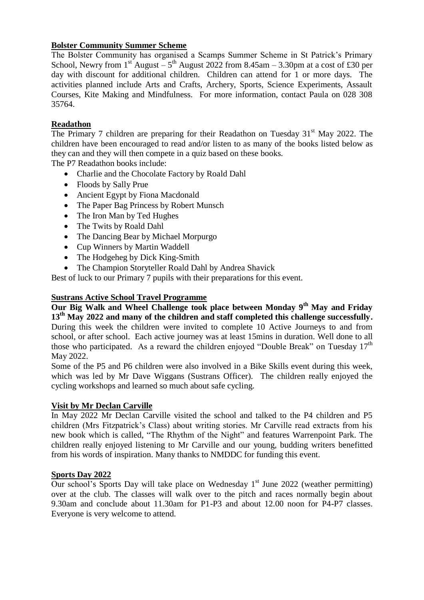# **Bolster Community Summer Scheme**

The Bolster Community has organised a Scamps Summer Scheme in St Patrick's Primary School, Newry from  $1^{st}$  August  $-5^{th}$  August 2022 from 8.45am  $-$  3.30pm at a cost of £30 per day with discount for additional children. Children can attend for 1 or more days. The activities planned include Arts and Crafts, Archery, Sports, Science Experiments, Assault Courses, Kite Making and Mindfulness. For more information, contact Paula on 028 308 35764.

# **Readathon**

The Primary 7 children are preparing for their Readathon on Tuesday  $31<sup>st</sup>$  May 2022. The children have been encouraged to read and/or listen to as many of the books listed below as they can and they will then compete in a quiz based on these books.

The P7 Readathon books include:

- Charlie and the Chocolate Factory by Roald Dahl
- Floods by Sally Prue
- Ancient Egypt by Fiona Macdonald
- The Paper Bag Princess by Robert Munsch
- The Iron Man by Ted Hughes
- The Twits by Roald Dahl
- The Dancing Bear by Michael Morpurgo
- Cup Winners by Martin Waddell
- The Hodgeheg by Dick King-Smith
- The Champion Storyteller Roald Dahl by Andrea Shavick

Best of luck to our Primary 7 pupils with their preparations for this event.

### **Sustrans Active School Travel Programme**

**Our Big Walk and Wheel Challenge took place between Monday 9th May and Friday 13th May 2022 and many of the children and staff completed this challenge successfully.**  During this week the children were invited to complete 10 Active Journeys to and from school, or after school. Each active journey was at least 15mins in duration. Well done to all those who participated. As a reward the children enjoyed "Double Break" on Tuesday  $17<sup>th</sup>$ May 2022.

Some of the P5 and P6 children were also involved in a Bike Skills event during this week, which was led by Mr Dave Wiggans (Sustrans Officer). The children really enjoyed the cycling workshops and learned so much about safe cycling.

# **Visit by Mr Declan Carville**

In May 2022 Mr Declan Carville visited the school and talked to the P4 children and P5 children (Mrs Fitzpatrick's Class) about writing stories. Mr Carville read extracts from his new book which is called, "The Rhythm of the Night" and features Warrenpoint Park. The children really enjoyed listening to Mr Carville and our young, budding writers benefitted from his words of inspiration. Many thanks to NMDDC for funding this event.

# **Sports Day 2022**

Our school's Sports Day will take place on Wednesday  $1<sup>st</sup>$  June 2022 (weather permitting) over at the club. The classes will walk over to the pitch and races normally begin about 9.30am and conclude about 11.30am for P1-P3 and about 12.00 noon for P4-P7 classes. Everyone is very welcome to attend.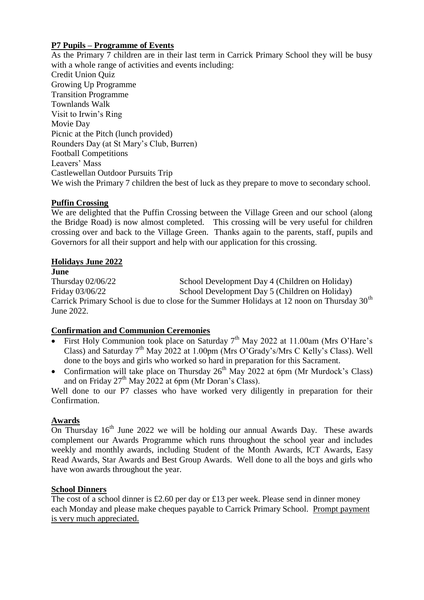# **P7 Pupils – Programme of Events**

As the Primary 7 children are in their last term in Carrick Primary School they will be busy with a whole range of activities and events including: Credit Union Quiz Growing Up Programme Transition Programme Townlands Walk Visit to Irwin's Ring Movie Day Picnic at the Pitch (lunch provided) Rounders Day (at St Mary's Club, Burren) Football Competitions Leavers' Mass Castlewellan Outdoor Pursuits Trip We wish the Primary 7 children the best of luck as they prepare to move to secondary school.

# **Puffin Crossing**

We are delighted that the Puffin Crossing between the Village Green and our school (along the Bridge Road) is now almost completed. This crossing will be very useful for children crossing over and back to the Village Green. Thanks again to the parents, staff, pupils and Governors for all their support and help with our application for this crossing.

# **Holidays June 2022**

**June**

Thursday 02/06/22 School Development Day 4 (Children on Holiday) Friday 03/06/22 School Development Day 5 (Children on Holiday) Carrick Primary School is due to close for the Summer Holidays at 12 noon on Thursday  $30<sup>th</sup>$ June 2022.

# **Confirmation and Communion Ceremonies**

- First Holy Communion took place on Saturday  $7<sup>th</sup>$  May 2022 at 11.00am (Mrs O'Hare's Class) and Saturday  $7<sup>th</sup>$  May 2022 at 1.00pm (Mrs O'Grady's/Mrs C Kelly's Class). Well done to the boys and girls who worked so hard in preparation for this Sacrament.
- Confirmation will take place on Thursday  $26<sup>th</sup>$  May 2022 at 6pm (Mr Murdock's Class) and on Friday  $27<sup>th</sup>$  May 2022 at 6pm (Mr Doran's Class).

Well done to our P7 classes who have worked very diligently in preparation for their Confirmation.

# **Awards**

On Thursday  $16<sup>th</sup>$  June 2022 we will be holding our annual Awards Day. These awards complement our Awards Programme which runs throughout the school year and includes weekly and monthly awards, including Student of the Month Awards, ICT Awards, Easy Read Awards, Star Awards and Best Group Awards. Well done to all the boys and girls who have won awards throughout the year.

# **School Dinners**

The cost of a school dinner is £2.60 per day or £13 per week. Please send in dinner money each Monday and please make cheques payable to Carrick Primary School. Prompt payment is very much appreciated.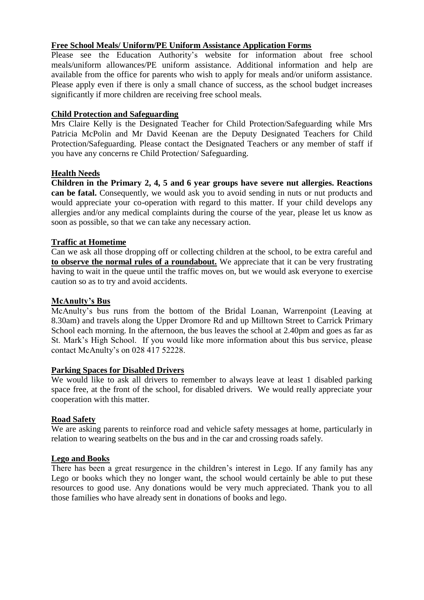# **Free School Meals/ Uniform/PE Uniform Assistance Application Forms**

Please see the Education Authority's website for information about free school meals/uniform allowances/PE uniform assistance. Additional information and help are available from the office for parents who wish to apply for meals and/or uniform assistance. Please apply even if there is only a small chance of success, as the school budget increases significantly if more children are receiving free school meals.

### **Child Protection and Safeguarding**

Mrs Claire Kelly is the Designated Teacher for Child Protection/Safeguarding while Mrs Patricia McPolin and Mr David Keenan are the Deputy Designated Teachers for Child Protection/Safeguarding. Please contact the Designated Teachers or any member of staff if you have any concerns re Child Protection/ Safeguarding.

# **Health Needs**

**Children in the Primary 2, 4, 5 and 6 year groups have severe nut allergies. Reactions can be fatal.** Consequently, we would ask you to avoid sending in nuts or nut products and would appreciate your co-operation with regard to this matter. If your child develops any allergies and/or any medical complaints during the course of the year, please let us know as soon as possible, so that we can take any necessary action.

### **Traffic at Hometime**

Can we ask all those dropping off or collecting children at the school, to be extra careful and **to observe the normal rules of a roundabout.** We appreciate that it can be very frustrating having to wait in the queue until the traffic moves on, but we would ask everyone to exercise caution so as to try and avoid accidents.

#### **McAnulty's Bus**

McAnulty's bus runs from the bottom of the Bridal Loanan, Warrenpoint (Leaving at 8.30am) and travels along the Upper Dromore Rd and up Milltown Street to Carrick Primary School each morning. In the afternoon, the bus leaves the school at 2.40pm and goes as far as St. Mark's High School. If you would like more information about this bus service, please contact McAnulty's on 028 417 52228.

#### **Parking Spaces for Disabled Drivers**

We would like to ask all drivers to remember to always leave at least 1 disabled parking space free, at the front of the school, for disabled drivers. We would really appreciate your cooperation with this matter.

#### **Road Safety**

We are asking parents to reinforce road and vehicle safety messages at home, particularly in relation to wearing seatbelts on the bus and in the car and crossing roads safely.

#### **Lego and Books**

There has been a great resurgence in the children's interest in Lego. If any family has any Lego or books which they no longer want, the school would certainly be able to put these resources to good use. Any donations would be very much appreciated. Thank you to all those families who have already sent in donations of books and lego.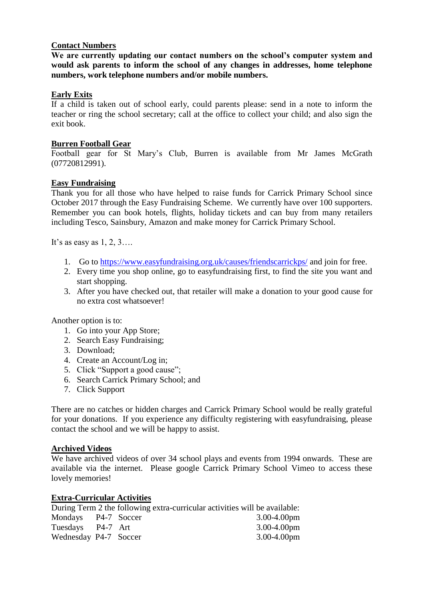### **Contact Numbers**

**We are currently updating our contact numbers on the school's computer system and would ask parents to inform the school of any changes in addresses, home telephone numbers, work telephone numbers and/or mobile numbers.**

### **Early Exits**

If a child is taken out of school early, could parents please: send in a note to inform the teacher or ring the school secretary; call at the office to collect your child; and also sign the exit book.

#### **Burren Football Gear**

Football gear for St Mary's Club, Burren is available from Mr James McGrath (07720812991).

### **Easy Fundraising**

Thank you for all those who have helped to raise funds for Carrick Primary School since October 2017 through the Easy Fundraising Scheme. We currently have over 100 supporters. Remember you can book hotels, flights, holiday tickets and can buy from many retailers including Tesco, Sainsbury, Amazon and make money for Carrick Primary School.

It's as easy as  $1, 2, 3...$ 

- 1. Go to<https://www.easyfundraising.org.uk/causes/friendscarrickps/> and join for free.
- 2. Every time you shop online, go to easyfundraising first, to find the site you want and start shopping.
- 3. After you have checked out, that retailer will make a donation to your good cause for no extra cost whatsoever!

Another option is to:

- 1. Go into your App Store;
- 2. Search Easy Fundraising;
- 3. Download;
- 4. Create an Account/Log in;
- 5. Click "Support a good cause";
- 6. Search Carrick Primary School; and
- 7. Click Support

There are no catches or hidden charges and Carrick Primary School would be really grateful for your donations. If you experience any difficulty registering with easyfundraising, please contact the school and we will be happy to assist.

#### **Archived Videos**

We have archived videos of over 34 school plays and events from 1994 onwards. These are available via the internet. Please google Carrick Primary School Vimeo to access these lovely memories!

#### **Extra-Curricular Activities**

During Term 2 the following extra-curricular activities will be available: Mondays P4-7 Soccer 3.00-4.00pm

| $MUUUUQYS = I + 7$    |  | $J.UU$ -4. $U$ U $\mu$ III |
|-----------------------|--|----------------------------|
| Tuesdays P4-7 Art     |  | $3.00 - 4.00$ pm           |
| Wednesday P4-7 Soccer |  | $3.00 - 4.00$ pm           |